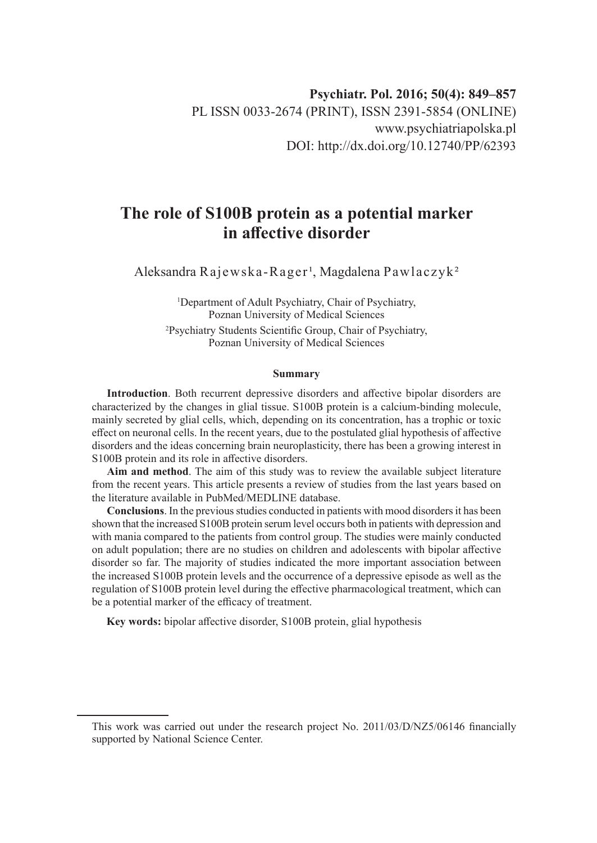# **The role of S100B protein as a potential marker in affective disorder**

Aleksandra Rajewska-Rager<sup>1</sup>, Magdalena Pawlaczyk<sup>2</sup>

1 Department of Adult Psychiatry, Chair of Psychiatry, Poznan University of Medical Sciences

2 Psychiatry Students Scientific Group, Chair of Psychiatry, Poznan University of Medical Sciences

#### **Summary**

**Introduction**. Both recurrent depressive disorders and affective bipolar disorders are characterized by the changes in glial tissue. S100B protein is a calcium-binding molecule, mainly secreted by glial cells, which, depending on its concentration, has a trophic or toxic effect on neuronal cells. In the recent years, due to the postulated glial hypothesis of affective disorders and the ideas concerning brain neuroplasticity, there has been a growing interest in S100B protein and its role in affective disorders.

**Aim and method**. The aim of this study was to review the available subject literature from the recent years. This article presents a review of studies from the last years based on the literature available in PubMed/MEDLINE database.

**Conclusions**. In the previous studies conducted in patients with mood disorders it has been shown that the increased S100B protein serum level occurs both in patients with depression and with mania compared to the patients from control group. The studies were mainly conducted on adult population; there are no studies on children and adolescents with bipolar affective disorder so far. The majority of studies indicated the more important association between the increased S100B protein levels and the occurrence of a depressive episode as well as the regulation of S100B protein level during the effective pharmacological treatment, which can be a potential marker of the efficacy of treatment.

**Key words:** bipolar affective disorder, S100B protein, glial hypothesis

This work was carried out under the research project No. 2011/03/D/NZ5/06146 financially supported by National Science Center.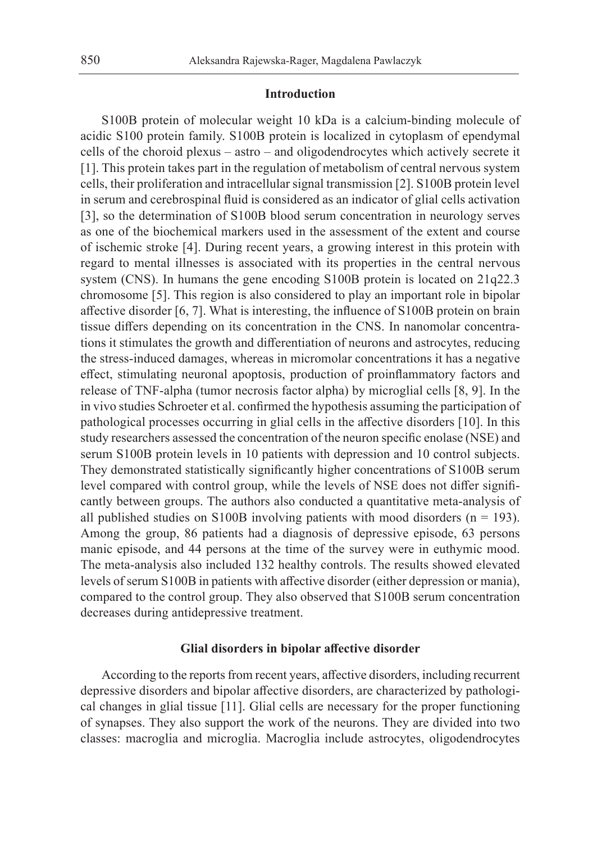## **Introduction**

S100B protein of molecular weight 10 kDa is a calcium-binding molecule of acidic S100 protein family. S100B protein is localized in cytoplasm of ependymal cells of the choroid plexus – astro – and oligodendrocytes which actively secrete it [1]. This protein takes part in the regulation of metabolism of central nervous system cells, their proliferation and intracellular signal transmission [2]. S100B protein level in serum and cerebrospinal fluid is considered as an indicator of glial cells activation [3], so the determination of S100B blood serum concentration in neurology serves as one of the biochemical markers used in the assessment of the extent and course of ischemic stroke [4]. During recent years, a growing interest in this protein with regard to mental illnesses is associated with its properties in the central nervous system (CNS). In humans the gene encoding S100B protein is located on 21q22.3 chromosome [5]. This region is also considered to play an important role in bipolar affective disorder [6, 7]. What is interesting, the influence of S100B protein on brain tissue differs depending on its concentration in the CNS. In nanomolar concentrations it stimulates the growth and differentiation of neurons and astrocytes, reducing the stress-induced damages, whereas in micromolar concentrations it has a negative effect, stimulating neuronal apoptosis, production of proinflammatory factors and release of TNF-alpha (tumor necrosis factor alpha) by microglial cells [8, 9]. In the in vivo studies Schroeter et al. confirmed the hypothesis assuming the participation of pathological processes occurring in glial cells in the affective disorders [10]. In this study researchers assessed the concentration of the neuron specific enolase (NSE) and serum S100B protein levels in 10 patients with depression and 10 control subjects. They demonstrated statistically significantly higher concentrations of S100B serum level compared with control group, while the levels of NSE does not differ significantly between groups. The authors also conducted a quantitative meta-analysis of all published studies on S100B involving patients with mood disorders  $(n = 193)$ . Among the group, 86 patients had a diagnosis of depressive episode, 63 persons manic episode, and 44 persons at the time of the survey were in euthymic mood. The meta-analysis also included 132 healthy controls. The results showed elevated levels of serum S100B in patients with affective disorder (either depression or mania), compared to the control group. They also observed that S100B serum concentration decreases during antidepressive treatment.

## **Glial disorders in bipolar affective disorder**

According to the reports from recent years, affective disorders, including recurrent depressive disorders and bipolar affective disorders, are characterized by pathological changes in glial tissue [11]. Glial cells are necessary for the proper functioning of synapses. They also support the work of the neurons. They are divided into two classes: macroglia and microglia. Macroglia include astrocytes, oligodendrocytes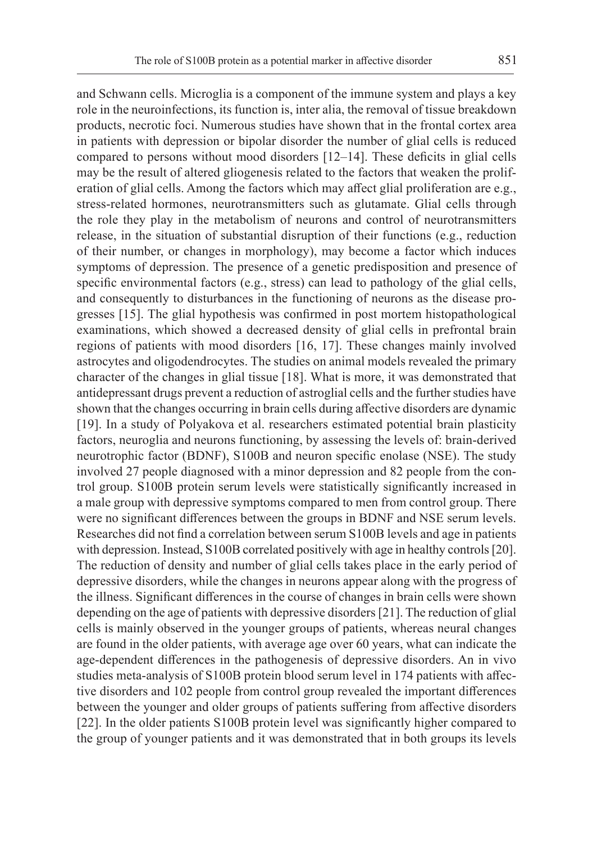and Schwann cells. Microglia is a component of the immune system and plays a key role in the neuroinfections, its function is, inter alia, the removal of tissue breakdown products, necrotic foci. Numerous studies have shown that in the frontal cortex area in patients with depression or bipolar disorder the number of glial cells is reduced compared to persons without mood disorders [12–14]. These deficits in glial cells may be the result of altered gliogenesis related to the factors that weaken the proliferation of glial cells. Among the factors which may affect glial proliferation are e.g., stress-related hormones, neurotransmitters such as glutamate. Glial cells through the role they play in the metabolism of neurons and control of neurotransmitters release, in the situation of substantial disruption of their functions (e.g., reduction of their number, or changes in morphology), may become a factor which induces symptoms of depression. The presence of a genetic predisposition and presence of specific environmental factors (e.g., stress) can lead to pathology of the glial cells, and consequently to disturbances in the functioning of neurons as the disease progresses [15]. The glial hypothesis was confirmed in post mortem histopathological examinations, which showed a decreased density of glial cells in prefrontal brain regions of patients with mood disorders [16, 17]. These changes mainly involved astrocytes and oligodendrocytes. The studies on animal models revealed the primary character of the changes in glial tissue [18]. What is more, it was demonstrated that antidepressant drugs prevent a reduction of astroglial cells and the further studies have shown that the changes occurring in brain cells during affective disorders are dynamic [19]. In a study of Polyakova et al. researchers estimated potential brain plasticity factors, neuroglia and neurons functioning, by assessing the levels of: brain-derived neurotrophic factor (BDNF), S100B and neuron specific enolase (NSE). The study involved 27 people diagnosed with a minor depression and 82 people from the control group. S100B protein serum levels were statistically significantly increased in a male group with depressive symptoms compared to men from control group. There were no significant differences between the groups in BDNF and NSE serum levels. Researches did not find a correlation between serum S100B levels and age in patients with depression. Instead, S100B correlated positively with age in healthy controls [20]. The reduction of density and number of glial cells takes place in the early period of depressive disorders, while the changes in neurons appear along with the progress of the illness. Significant differences in the course of changes in brain cells were shown depending on the age of patients with depressive disorders [21]. The reduction of glial cells is mainly observed in the younger groups of patients, whereas neural changes are found in the older patients, with average age over 60 years, what can indicate the age-dependent differences in the pathogenesis of depressive disorders. An in vivo studies meta-analysis of S100B protein blood serum level in 174 patients with affective disorders and 102 people from control group revealed the important differences between the younger and older groups of patients suffering from affective disorders [22]. In the older patients S100B protein level was significantly higher compared to the group of younger patients and it was demonstrated that in both groups its levels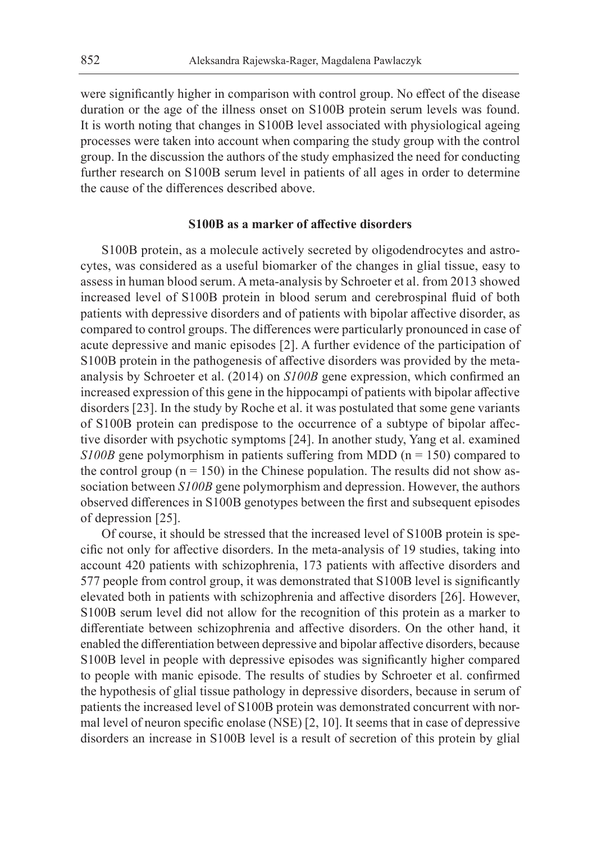were significantly higher in comparison with control group. No effect of the disease duration or the age of the illness onset on S100B protein serum levels was found. It is worth noting that changes in S100B level associated with physiological ageing processes were taken into account when comparing the study group with the control group. In the discussion the authors of the study emphasized the need for conducting further research on S100B serum level in patients of all ages in order to determine the cause of the differences described above.

### **S100B as a marker of affective disorders**

S100B protein, as a molecule actively secreted by oligodendrocytes and astrocytes, was considered as a useful biomarker of the changes in glial tissue, easy to assess in human blood serum. A meta-analysis by Schroeter et al. from 2013 showed increased level of S100B protein in blood serum and cerebrospinal fluid of both patients with depressive disorders and of patients with bipolar affective disorder, as compared to control groups. The differences were particularly pronounced in case of acute depressive and manic episodes [2]. A further evidence of the participation of S100B protein in the pathogenesis of affective disorders was provided by the metaanalysis by Schroeter et al. (2014) on *S100B* gene expression, which confirmed an increased expression of this gene in the hippocampi of patients with bipolar affective disorders [23]. In the study by Roche et al. it was postulated that some gene variants of S100B protein can predispose to the occurrence of a subtype of bipolar affective disorder with psychotic symptoms [24]. In another study, Yang et al. examined *S100B* gene polymorphism in patients suffering from MDD (n = 150) compared to the control group ( $n = 150$ ) in the Chinese population. The results did not show association between *S100B* gene polymorphism and depression. However, the authors observed differences in S100B genotypes between the first and subsequent episodes of depression [25].

Of course, it should be stressed that the increased level of S100B protein is specific not only for affective disorders. In the meta-analysis of 19 studies, taking into account 420 patients with schizophrenia, 173 patients with affective disorders and 577 people from control group, it was demonstrated that S100B level is significantly elevated both in patients with schizophrenia and affective disorders [26]. However, S100B serum level did not allow for the recognition of this protein as a marker to differentiate between schizophrenia and affective disorders. On the other hand, it enabled the differentiation between depressive and bipolar affective disorders, because S100B level in people with depressive episodes was significantly higher compared to people with manic episode. The results of studies by Schroeter et al. confirmed the hypothesis of glial tissue pathology in depressive disorders, because in serum of patients the increased level of S100B protein was demonstrated concurrent with normal level of neuron specific enolase (NSE) [2, 10]. It seems that in case of depressive disorders an increase in S100B level is a result of secretion of this protein by glial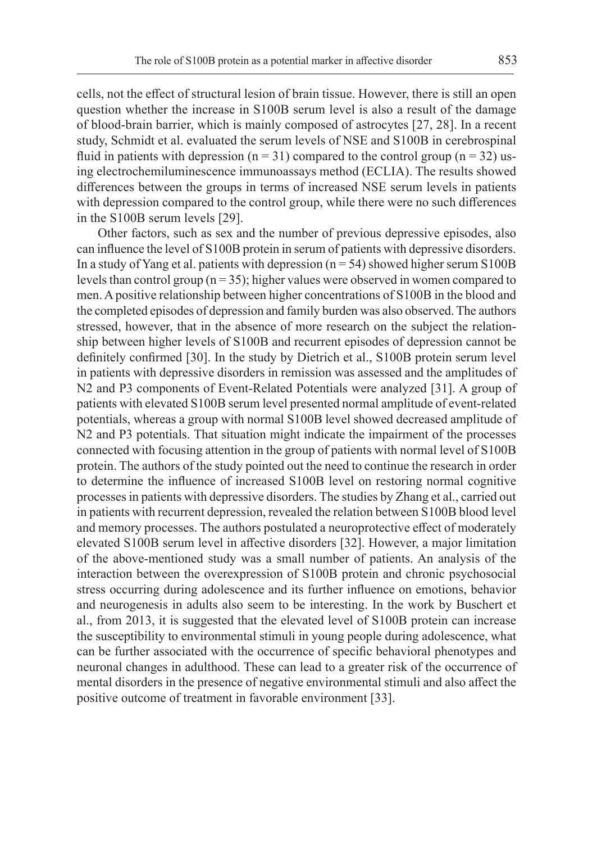cells, not the effect of structural lesion of brain tissue. However, there is still an open question whether the increase in S100B serum level is also a result of the damage of blood-brain barrier, which is mainly composed of astrocytes [27, 28]. In a recent study, Schmidt et al. evaluated the serum levels of NSE and S100B in cerebrospinal fluid in patients with depression ( $n = 31$ ) compared to the control group ( $n = 32$ ) using electrochemiluminescence immunoassays method (ECLIA). The results showed differences between the groups in terms of increased NSE serum levels in patients with depression compared to the control group, while there were no such differences in the S100B serum levels [29].

Other factors, such as sex and the number of previous depressive episodes, also can influence the level of S100B protein in serum of patients with depressive disorders. In a study of Yang et al. patients with depression  $(n = 54)$  showed higher serum S100B levels than control group ( $n = 35$ ); higher values were observed in women compared to men. A positive relationship between higher concentrations of S100B in the blood and the completed episodes of depression and family burden was also observed. The authors stressed, however, that in the absence of more research on the subject the relationship between higher levels of S100B and recurrent episodes of depression cannot be definitely confirmed [30]. In the study by Dietrich et al., S100B protein serum level in patients with depressive disorders in remission was assessed and the amplitudes of N2 and P3 components of Event-Related Potentials were analyzed [31]. A group of patients with elevated S100B serum level presented normal amplitude of event-related potentials, whereas a group with normal S100B level showed decreased amplitude of N2 and P3 potentials. That situation might indicate the impairment of the processes connected with focusing attention in the group of patients with normal level of S100B protein. The authors of the study pointed out the need to continue the research in order to determine the influence of increased S100B level on restoring normal cognitive processes in patients with depressive disorders. The studies by Zhang et al., carried out in patients with recurrent depression, revealed the relation between S100B blood level and memory processes. The authors postulated a neuroprotective effect of moderately elevated S100B serum level in affective disorders [32]. However, a major limitation of the above-mentioned study was a small number of patients. An analysis of the interaction between the overexpression of S100B protein and chronic psychosocial stress occurring during adolescence and its further influence on emotions, behavior and neurogenesis in adults also seem to be interesting. In the work by Buschert et al., from 2013, it is suggested that the elevated level of S100B protein can increase the susceptibility to environmental stimuli in young people during adolescence, what can be further associated with the occurrence of specific behavioral phenotypes and neuronal changes in adulthood. These can lead to a greater risk of the occurrence of mental disorders in the presence of negative environmental stimuli and also affect the positive outcome of treatment in favorable environment [33].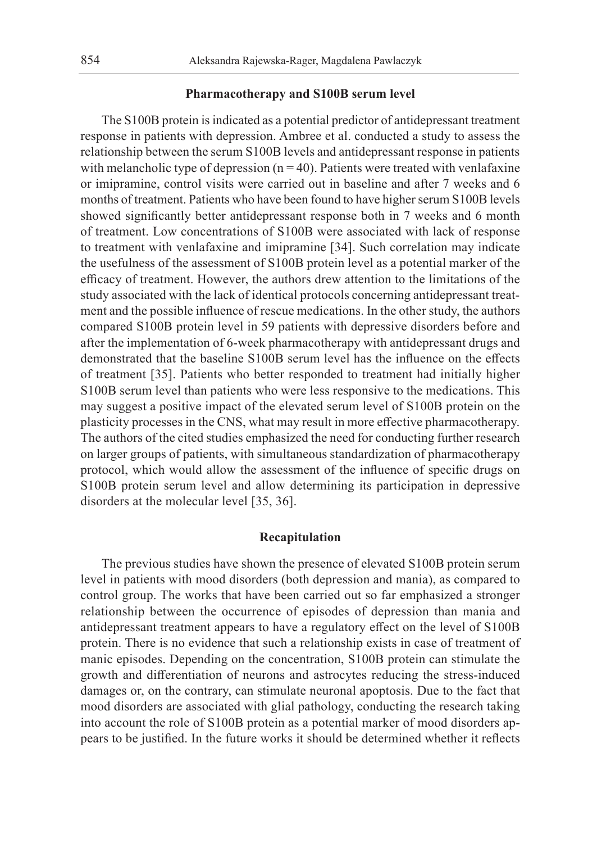## **Pharmacotherapy and S100B serum level**

The S100B protein is indicated as a potential predictor of antidepressant treatment response in patients with depression. Ambree et al. conducted a study to assess the relationship between the serum S100B levels and antidepressant response in patients with melancholic type of depression  $(n = 40)$ . Patients were treated with venlafaxine or imipramine, control visits were carried out in baseline and after 7 weeks and 6 months of treatment. Patients who have been found to have higher serum S100B levels showed significantly better antidepressant response both in 7 weeks and 6 month of treatment. Low concentrations of S100B were associated with lack of response to treatment with venlafaxine and imipramine [34]. Such correlation may indicate the usefulness of the assessment of S100B protein level as a potential marker of the efficacy of treatment. However, the authors drew attention to the limitations of the study associated with the lack of identical protocols concerning antidepressant treatment and the possible influence of rescue medications. In the other study, the authors compared S100B protein level in 59 patients with depressive disorders before and after the implementation of 6-week pharmacotherapy with antidepressant drugs and demonstrated that the baseline S100B serum level has the influence on the effects of treatment [35]. Patients who better responded to treatment had initially higher S100B serum level than patients who were less responsive to the medications. This may suggest a positive impact of the elevated serum level of S100B protein on the plasticity processes in the CNS, what may result in more effective pharmacotherapy. The authors of the cited studies emphasized the need for conducting further research on larger groups of patients, with simultaneous standardization of pharmacotherapy protocol, which would allow the assessment of the influence of specific drugs on S100B protein serum level and allow determining its participation in depressive disorders at the molecular level [35, 36].

## **Recapitulation**

The previous studies have shown the presence of elevated S100B protein serum level in patients with mood disorders (both depression and mania), as compared to control group. The works that have been carried out so far emphasized a stronger relationship between the occurrence of episodes of depression than mania and antidepressant treatment appears to have a regulatory effect on the level of S100B protein. There is no evidence that such a relationship exists in case of treatment of manic episodes. Depending on the concentration, S100B protein can stimulate the growth and differentiation of neurons and astrocytes reducing the stress-induced damages or, on the contrary, can stimulate neuronal apoptosis. Due to the fact that mood disorders are associated with glial pathology, conducting the research taking into account the role of S100B protein as a potential marker of mood disorders appears to be justified. In the future works it should be determined whether it reflects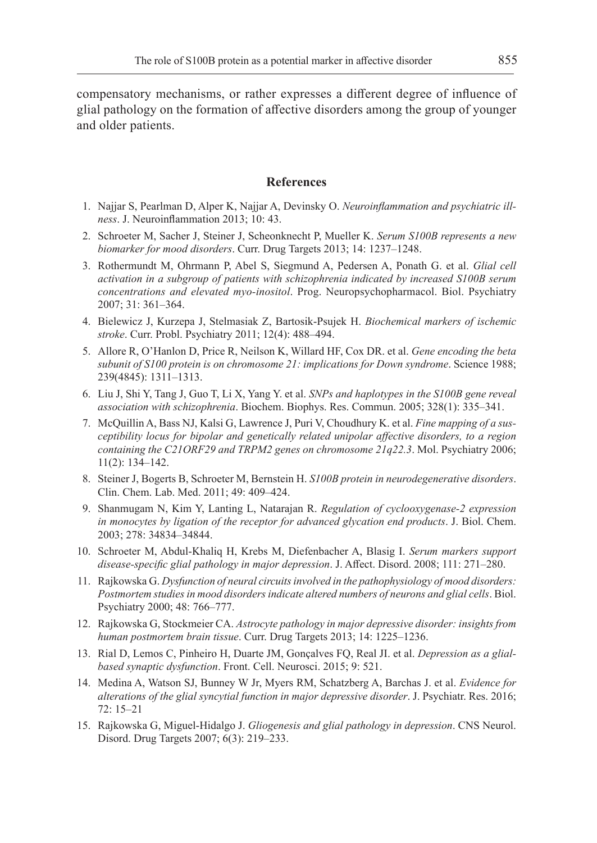compensatory mechanisms, or rather expresses a different degree of influence of glial pathology on the formation of affective disorders among the group of younger and older patients.

## **References**

- 1. Najjar S, Pearlman D, Alper K, Najjar A, Devinsky O. *Neuroinflammation and psychiatric illness*. J. Neuroinflammation 2013; 10: 43.
- 2. Schroeter M, Sacher J, Steiner J, Scheonknecht P, Mueller K. *Serum S100B represents a new biomarker for mood disorders*. Curr. Drug Targets 2013; 14: 1237–1248.
- 3. Rothermundt M, Ohrmann P, Abel S, Siegmund A, Pedersen A, Ponath G. et al. *Glial cell activation in a subgroup of patients with schizophrenia indicated by increased S100B serum concentrations and elevated myo-inositol*. Prog. Neuropsychopharmacol. Biol. Psychiatry 2007; 31: 361–364.
- 4. Bielewicz J, Kurzepa J, Stelmasiak Z, Bartosik-Psujek H. *Biochemical markers of ischemic stroke*. Curr. Probl. Psychiatry 2011; 12(4): 488–494.
- 5. Allore R, O'Hanlon D, Price R, Neilson K, Willard HF, Cox DR. et al. *Gene encoding the beta subunit of S100 protein is on chromosome 21: implications for Down syndrome*. Science 1988; 239(4845): 1311–1313.
- 6. Liu J, Shi Y, Tang J, Guo T, Li X, Yang Y. et al. *SNPs and haplotypes in the S100B gene reveal association with schizophrenia*. Biochem. Biophys. Res. Commun. 2005; 328(1): 335–341.
- 7. McQuillin A, Bass NJ, Kalsi G, Lawrence J, Puri V, Choudhury K. et al. *Fine mapping of a susceptibility locus for bipolar and genetically related unipolar affective disorders, to a region containing the C21ORF29 and TRPM2 genes on chromosome 21q22.3*. Mol. Psychiatry 2006; 11(2): 134–142.
- 8. Steiner J, Bogerts B, Schroeter M, Bernstein H. *S100B protein in neurodegenerative disorders*. Clin. Chem. Lab. Med. 2011; 49: 409–424.
- 9. Shanmugam N, Kim Y, Lanting L, Natarajan R. *Regulation of cyclooxygenase-2 expression in monocytes by ligation of the receptor for advanced glycation end products*. J. Biol. Chem. 2003; 278: 34834–34844.
- 10. Schroeter M, Abdul-Khaliq H, Krebs M, Diefenbacher A, Blasig I. *Serum markers support disease-specific glial pathology in major depression*. J. Affect. Disord. 2008; 111: 271–280.
- 11. Rajkowska G. *Dysfunction of neural circuits involved in the pathophysiology of mood disorders: Postmortem studies in mood disorders indicate altered numbers of neurons and glial cells*. Biol. Psychiatry 2000; 48: 766–777.
- 12. Rajkowska G, Stockmeier CA. *Astrocyte pathology in major depressive disorder: insights from human postmortem brain tissue*. Curr. Drug Targets 2013; 14: 1225–1236.
- 13. Rial D, Lemos C, Pinheiro H, Duarte JM, Gonçalves FQ, Real JI. et al. *Depression as a glialbased synaptic dysfunction*. Front. Cell. Neurosci. 2015; 9: 521.
- 14. Medina A, Watson SJ, Bunney W Jr, Myers RM, Schatzberg A, Barchas J. et al. *Evidence for alterations of the glial syncytial function in major depressive disorder*. J. Psychiatr. Res. 2016; 72: 15–21
- 15. Rajkowska G, Miguel-Hidalgo J. *Gliogenesis and glial pathology in depression*. CNS Neurol. Disord. Drug Targets 2007; 6(3): 219–233.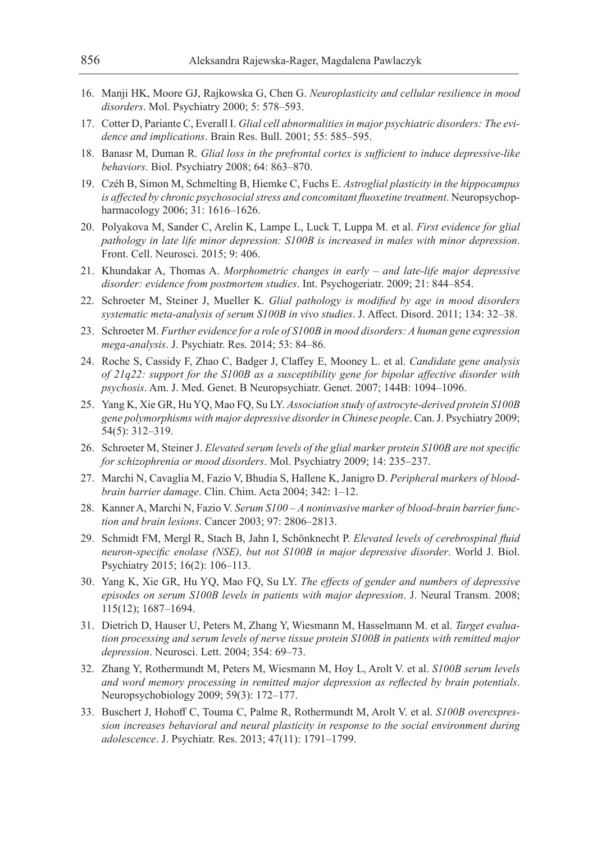- 16. Manji HK, Moore GJ, Rajkowska G, Chen G. *Neuroplasticity and cellular resilience in mood disorders*. Mol. Psychiatry 2000; 5: 578–593.
- 17. Cotter D, Pariante C, Everall I. *Glial cell abnormalities in major psychiatric disorders: The evidence and implications*. Brain Res. Bull. 2001; 55: 585–595.
- 18. Banasr M, Duman R. *Glial loss in the prefrontal cortex is sufficient to induce depressive-like behaviors*. Biol. Psychiatry 2008; 64: 863–870.
- 19. Czéh B, Simon M, Schmelting B, Hiemke C, Fuchs E. *Astroglial plasticity in the hippocampus is affected by chronic psychosocial stress and concomitant fluoxetine treatment*. Neuropsychopharmacology 2006; 31: 1616–1626.
- 20. Polyakova M, Sander C, Arelin K, Lampe L, Luck T, Luppa M. et al. *First evidence for glial pathology in late life minor depression: S100B is increased in males with minor depression*. Front. Cell. Neurosci. 2015; 9: 406.
- 21. Khundakar A, Thomas A. *Morphometric changes in early and late-life major depressive disorder: evidence from postmortem studies*. Int. Psychogeriatr. 2009; 21: 844–854.
- 22. Schroeter M, Steiner J, Mueller K. *Glial pathology is modified by age in mood disorders systematic meta-analysis of serum S100B in vivo studies*. J. Affect. Disord. 2011; 134: 32–38.
- 23. Schroeter M. *Further evidence for a role of S100B in mood disorders: A human gene expression mega-analysis*. J. Psychiatr. Res. 2014; 53: 84–86.
- 24. Roche S, Cassidy F, Zhao C, Badger J, Claffey E, Mooney L. et al. *Candidate gene analysis of 21q22: support for the S100B as a susceptibility gene for bipolar affective disorder with psychosis*. Am. J. Med. Genet. B Neuropsychiatr. Genet. 2007; 144B: 1094–1096.
- 25. Yang K, Xie GR, Hu YQ, Mao FQ, Su LY. *Association study of astrocyte-derived protein S100B gene polymorphisms with major depressive disorder in Chinese people*. Can. J. Psychiatry 2009; 54(5): 312–319.
- 26. Schroeter M, Steiner J. *Elevated serum levels of the glial marker protein S100B are not specific for schizophrenia or mood disorders*. Mol. Psychiatry 2009; 14: 235–237.
- 27. Marchi N, Cavaglia M, Fazio V, Bhudia S, Hallene K, Janigro D. *Peripheral markers of bloodbrain barrier damage*. Clin. Chim. Acta 2004; 342: 1–12.
- 28. Kanner A, Marchi N, Fazio V. *Serum S100 A noninvasive marker of blood-brain barrier function and brain lesions*. Cancer 2003; 97: 2806–2813.
- 29. Schmidt FM, Mergl R, Stach B, Jahn I, Schönknecht P. *Elevated levels of cerebrospinal fluid neuron-specific enolase (NSE), but not S100B in major depressive disorder*. World J. Biol. Psychiatry 2015; 16(2): 106–113.
- 30. Yang K, Xie GR, Hu YQ, Mao FQ, Su LY. *The effects of gender and numbers of depressive episodes on serum S100B levels in patients with major depression*. J. Neural Transm. 2008; 115(12); 1687–1694.
- 31. Dietrich D, Hauser U, Peters M, Zhang Y, Wiesmann M, Hasselmann M. et al. *Target evaluation processing and serum levels of nerve tissue protein S100B in patients with remitted major depression*. Neurosci. Lett. 2004; 354: 69–73.
- 32. Zhang Y, Rothermundt M, Peters M, Wiesmann M, Hoy L, Arolt V. et al. *S100B serum levels and word memory processing in remitted major depression as reflected by brain potentials*. Neuropsychobiology 2009; 59(3): 172–177.
- 33. Buschert J, Hohoff C, Touma C, Palme R, Rothermundt M, Arolt V. et al. *S100B overexpression increases behavioral and neural plasticity in response to the social environment during adolescence*. J. Psychiatr. Res. 2013; 47(11): 1791–1799.